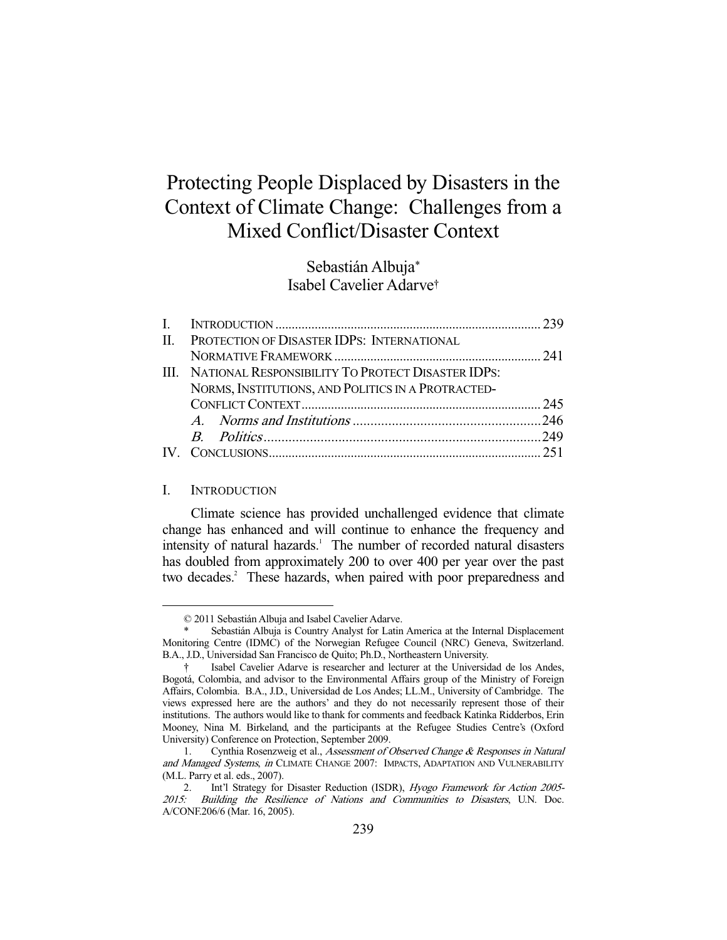# Protecting People Displaced by Disasters in the Context of Climate Change: Challenges from a Mixed Conflict/Disaster Context

Sebastián Albuja\* Isabel Cavelier Adarve†

| II. PROTECTION OF DISASTER IDPS: INTERNATIONAL         |  |
|--------------------------------------------------------|--|
|                                                        |  |
| III. NATIONAL RESPONSIBILITY TO PROTECT DISASTER IDPS: |  |
| NORMS, INSTITUTIONS, AND POLITICS IN A PROTRACTED-     |  |
|                                                        |  |
|                                                        |  |
|                                                        |  |
|                                                        |  |

#### I. INTRODUCTION

-

 Climate science has provided unchallenged evidence that climate change has enhanced and will continue to enhance the frequency and intensity of natural hazards.<sup>1</sup> The number of recorded natural disasters has doubled from approximately 200 to over 400 per year over the past two decades.<sup>2</sup> These hazards, when paired with poor preparedness and

 <sup>© 2011</sup> Sebastián Albuja and Isabel Cavelier Adarve.

Sebastián Albuja is Country Analyst for Latin America at the Internal Displacement Monitoring Centre (IDMC) of the Norwegian Refugee Council (NRC) Geneva, Switzerland. B.A., J.D., Universidad San Francisco de Quito; Ph.D., Northeastern University.

 <sup>†</sup> Isabel Cavelier Adarve is researcher and lecturer at the Universidad de los Andes, Bogotá, Colombia, and advisor to the Environmental Affairs group of the Ministry of Foreign Affairs, Colombia. B.A., J.D., Universidad de Los Andes; LL.M., University of Cambridge. The views expressed here are the authors' and they do not necessarily represent those of their institutions. The authors would like to thank for comments and feedback Katinka Ridderbos, Erin Mooney, Nina M. Birkeland, and the participants at the Refugee Studies Centre's (Oxford University) Conference on Protection, September 2009.

Cynthia Rosenzweig et al., Assessment of Observed Change & Responses in Natural and Managed Systems, in CLIMATE CHANGE 2007: IMPACTS, ADAPTATION AND VULNERABILITY (M.L. Parry et al. eds., 2007).

<sup>2.</sup> Int'l Strategy for Disaster Reduction (ISDR), Hyogo Framework for Action 2005-2015: Building the Resilience of Nations and Communities to Disasters, U.N. Doc. A/CONF.206/6 (Mar. 16, 2005).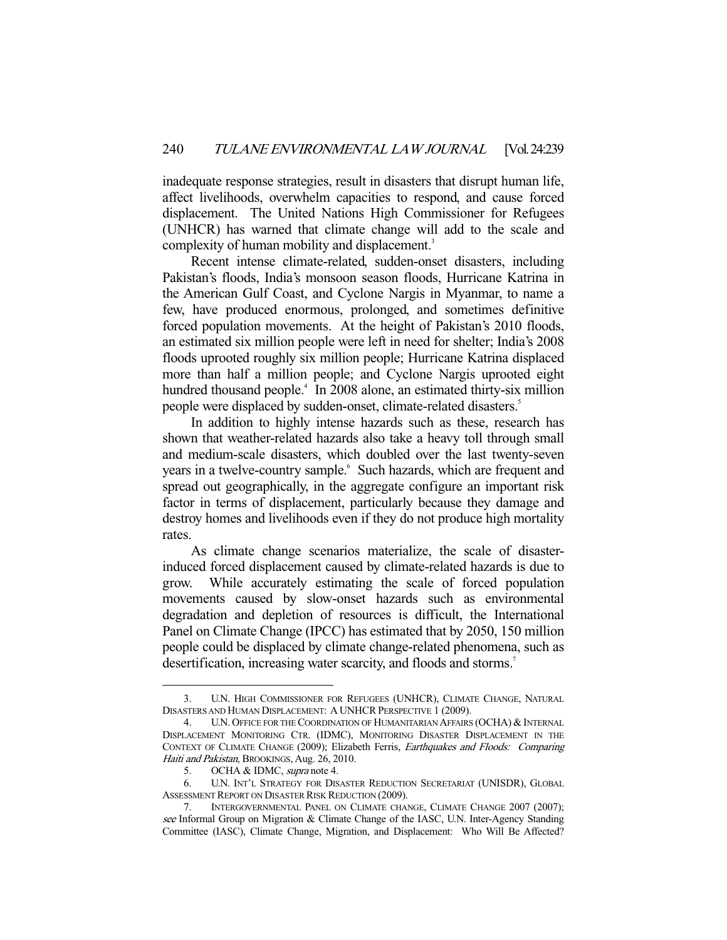inadequate response strategies, result in disasters that disrupt human life, affect livelihoods, overwhelm capacities to respond, and cause forced displacement. The United Nations High Commissioner for Refugees (UNHCR) has warned that climate change will add to the scale and complexity of human mobility and displacement.<sup>3</sup>

 Recent intense climate-related, sudden-onset disasters, including Pakistan's floods, India's monsoon season floods, Hurricane Katrina in the American Gulf Coast, and Cyclone Nargis in Myanmar, to name a few, have produced enormous, prolonged, and sometimes definitive forced population movements. At the height of Pakistan's 2010 floods, an estimated six million people were left in need for shelter; India's 2008 floods uprooted roughly six million people; Hurricane Katrina displaced more than half a million people; and Cyclone Nargis uprooted eight hundred thousand people.<sup>4</sup> In 2008 alone, an estimated thirty-six million people were displaced by sudden-onset, climate-related disasters.<sup>5</sup>

 In addition to highly intense hazards such as these, research has shown that weather-related hazards also take a heavy toll through small and medium-scale disasters, which doubled over the last twenty-seven years in a twelve-country sample.<sup>6</sup> Such hazards, which are frequent and spread out geographically, in the aggregate configure an important risk factor in terms of displacement, particularly because they damage and destroy homes and livelihoods even if they do not produce high mortality rates.

 As climate change scenarios materialize, the scale of disasterinduced forced displacement caused by climate-related hazards is due to grow. While accurately estimating the scale of forced population movements caused by slow-onset hazards such as environmental degradation and depletion of resources is difficult, the International Panel on Climate Change (IPCC) has estimated that by 2050, 150 million people could be displaced by climate change-related phenomena, such as desertification, increasing water scarcity, and floods and storms.<sup>7</sup>

 <sup>3.</sup> U.N. HIGH COMMISSIONER FOR REFUGEES (UNHCR), CLIMATE CHANGE, NATURAL DISASTERS AND HUMAN DISPLACEMENT: A UNHCR PERSPECTIVE 1 (2009).

<sup>4.</sup> U.N. OFFICE FOR THE COORDINATION OF HUMANITARIAN AFFAIRS (OCHA) & INTERNAL DISPLACEMENT MONITORING CTR. (IDMC), MONITORING DISASTER DISPLACEMENT IN THE CONTEXT OF CLIMATE CHANGE (2009); Elizabeth Ferris, Earthquakes and Floods: Comparing Haiti and Pakistan, BROOKINGS, Aug. 26, 2010.

<sup>5.</sup> OCHA & IDMC, supra note 4.

 <sup>6.</sup> U.N. INT'L STRATEGY FOR DISASTER REDUCTION SECRETARIAT (UNISDR), GLOBAL ASSESSMENT REPORT ON DISASTER RISK REDUCTION (2009).

 <sup>7.</sup> INTERGOVERNMENTAL PANEL ON CLIMATE CHANGE, CLIMATE CHANGE 2007 (2007); see Informal Group on Migration & Climate Change of the IASC, U.N. Inter-Agency Standing Committee (IASC), Climate Change, Migration, and Displacement: Who Will Be Affected?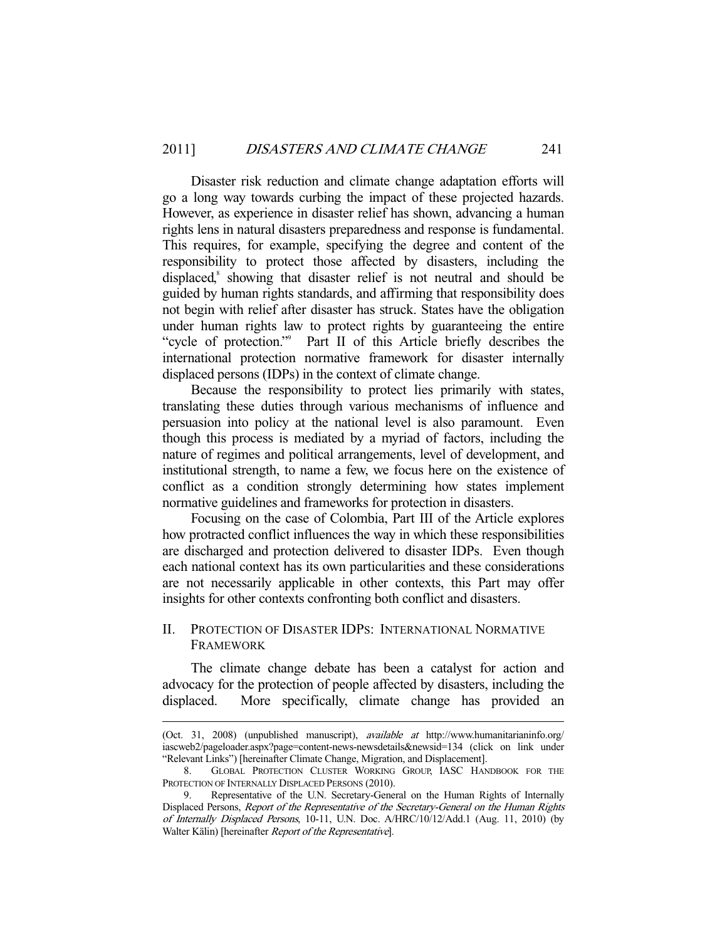Disaster risk reduction and climate change adaptation efforts will go a long way towards curbing the impact of these projected hazards. However, as experience in disaster relief has shown, advancing a human rights lens in natural disasters preparedness and response is fundamental. This requires, for example, specifying the degree and content of the responsibility to protect those affected by disasters, including the displaced,<sup>8</sup> showing that disaster relief is not neutral and should be guided by human rights standards, and affirming that responsibility does not begin with relief after disaster has struck. States have the obligation under human rights law to protect rights by guaranteeing the entire "cycle of protection."<sup>9</sup> Part II of this Article briefly describes the international protection normative framework for disaster internally displaced persons (IDPs) in the context of climate change.

 Because the responsibility to protect lies primarily with states, translating these duties through various mechanisms of influence and persuasion into policy at the national level is also paramount. Even though this process is mediated by a myriad of factors, including the nature of regimes and political arrangements, level of development, and institutional strength, to name a few, we focus here on the existence of conflict as a condition strongly determining how states implement normative guidelines and frameworks for protection in disasters.

 Focusing on the case of Colombia, Part III of the Article explores how protracted conflict influences the way in which these responsibilities are discharged and protection delivered to disaster IDPs. Even though each national context has its own particularities and these considerations are not necessarily applicable in other contexts, this Part may offer insights for other contexts confronting both conflict and disasters.

## II. PROTECTION OF DISASTER IDPS: INTERNATIONAL NORMATIVE FRAMEWORK

 The climate change debate has been a catalyst for action and advocacy for the protection of people affected by disasters, including the displaced. More specifically, climate change has provided an

<sup>(</sup>Oct. 31, 2008) (unpublished manuscript), available at http://www.humanitarianinfo.org/ iascweb2/pageloader.aspx?page=content-news-newsdetails&newsid=134 (click on link under "Relevant Links") [hereinafter Climate Change, Migration, and Displacement].

 <sup>8.</sup> GLOBAL PROTECTION CLUSTER WORKING GROUP, IASC HANDBOOK FOR THE PROTECTION OF INTERNALLY DISPLACED PERSONS (2010).

 <sup>9.</sup> Representative of the U.N. Secretary-General on the Human Rights of Internally Displaced Persons, Report of the Representative of the Secretary-General on the Human Rights of Internally Displaced Persons, 10-11, U.N. Doc. A/HRC/10/12/Add.1 (Aug. 11, 2010) (by Walter Kälin) [hereinafter *Report of the Representative*].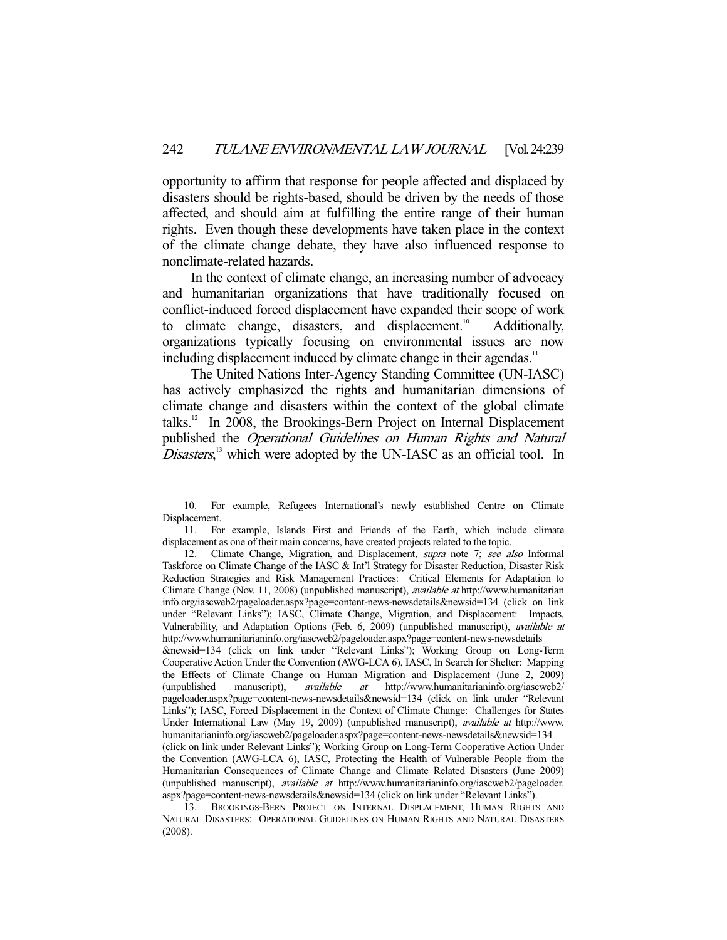opportunity to affirm that response for people affected and displaced by disasters should be rights-based, should be driven by the needs of those affected, and should aim at fulfilling the entire range of their human rights. Even though these developments have taken place in the context of the climate change debate, they have also influenced response to nonclimate-related hazards.

 In the context of climate change, an increasing number of advocacy and humanitarian organizations that have traditionally focused on conflict-induced forced displacement have expanded their scope of work to climate change, disasters, and displacement.<sup>10</sup> Additionally, organizations typically focusing on environmental issues are now including displacement induced by climate change in their agendas.<sup>11</sup>

 The United Nations Inter-Agency Standing Committee (UN-IASC) has actively emphasized the rights and humanitarian dimensions of climate change and disasters within the context of the global climate talks.12 In 2008, the Brookings-Bern Project on Internal Displacement published the Operational Guidelines on Human Rights and Natural Disasters,<sup>13</sup> which were adopted by the UN-IASC as an official tool. In

 <sup>10.</sup> For example, Refugees International's newly established Centre on Climate Displacement.

 <sup>11.</sup> For example, Islands First and Friends of the Earth, which include climate displacement as one of their main concerns, have created projects related to the topic.

<sup>12.</sup> Climate Change, Migration, and Displacement, *supra* note 7; see also Informal Taskforce on Climate Change of the IASC & Int'l Strategy for Disaster Reduction, Disaster Risk Reduction Strategies and Risk Management Practices: Critical Elements for Adaptation to Climate Change (Nov. 11, 2008) (unpublished manuscript), available at http://www.humanitarian info.org/iascweb2/pageloader.aspx?page=content-news-newsdetails&newsid=134 (click on link under "Relevant Links"); IASC, Climate Change, Migration, and Displacement: Impacts, Vulnerability, and Adaptation Options (Feb. 6, 2009) (unpublished manuscript), available at http://www.humanitarianinfo.org/iascweb2/pageloader.aspx?page=content-news-newsdetails

<sup>&</sup>amp;newsid=134 (click on link under "Relevant Links"); Working Group on Long-Term Cooperative Action Under the Convention (AWG-LCA 6), IASC, In Search for Shelter: Mapping the Effects of Climate Change on Human Migration and Displacement (June 2, 2009) (unpublished manuscript), *available at* http://www.humanitarianinfo.org/iascweb2/ pageloader.aspx?page=content-news-newsdetails&newsid=134 (click on link under "Relevant Links"); IASC, Forced Displacement in the Context of Climate Change: Challenges for States Under International Law (May 19, 2009) (unpublished manuscript), available at http://www. humanitarianinfo.org/iascweb2/pageloader.aspx?page=content-news-newsdetails&newsid=134 (click on link under Relevant Links"); Working Group on Long-Term Cooperative Action Under the Convention (AWG-LCA 6), IASC, Protecting the Health of Vulnerable People from the Humanitarian Consequences of Climate Change and Climate Related Disasters (June 2009) (unpublished manuscript), available at http://www.humanitarianinfo.org/iascweb2/pageloader.

aspx?page=content-news-newsdetails&newsid=134 (click on link under "Relevant Links"). 13. BROOKINGS-BERN PROJECT ON INTERNAL DISPLACEMENT, HUMAN RIGHTS AND NATURAL DISASTERS: OPERATIONAL GUIDELINES ON HUMAN RIGHTS AND NATURAL DISASTERS (2008).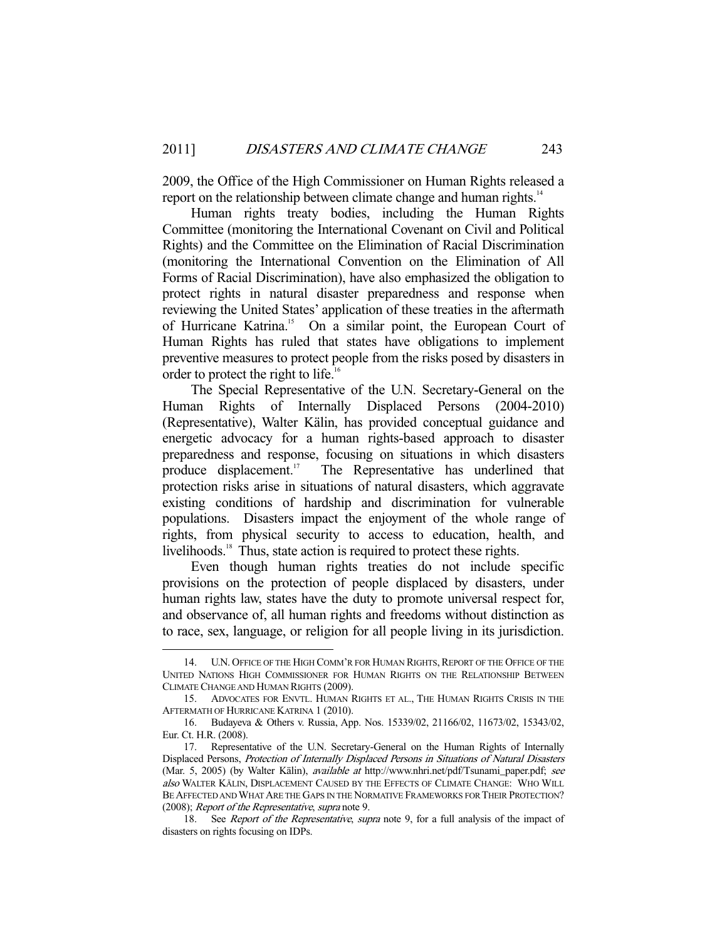2009, the Office of the High Commissioner on Human Rights released a report on the relationship between climate change and human rights.<sup>14</sup>

 Human rights treaty bodies, including the Human Rights Committee (monitoring the International Covenant on Civil and Political Rights) and the Committee on the Elimination of Racial Discrimination (monitoring the International Convention on the Elimination of All Forms of Racial Discrimination), have also emphasized the obligation to protect rights in natural disaster preparedness and response when reviewing the United States' application of these treaties in the aftermath of Hurricane Katrina.<sup>15</sup> On a similar point, the European Court of Human Rights has ruled that states have obligations to implement preventive measures to protect people from the risks posed by disasters in order to protect the right to life.<sup>16</sup>

 The Special Representative of the U.N. Secretary-General on the Human Rights of Internally Displaced Persons (2004-2010) (Representative), Walter Kälin, has provided conceptual guidance and energetic advocacy for a human rights-based approach to disaster preparedness and response, focusing on situations in which disasters produce displacement.<sup>17</sup> The Representative has underlined that protection risks arise in situations of natural disasters, which aggravate existing conditions of hardship and discrimination for vulnerable populations. Disasters impact the enjoyment of the whole range of rights, from physical security to access to education, health, and livelihoods.<sup>18</sup> Thus, state action is required to protect these rights.

 Even though human rights treaties do not include specific provisions on the protection of people displaced by disasters, under human rights law, states have the duty to promote universal respect for, and observance of, all human rights and freedoms without distinction as to race, sex, language, or religion for all people living in its jurisdiction.

 <sup>14.</sup> U.N. OFFICE OF THE HIGH COMM'R FOR HUMAN RIGHTS, REPORT OF THE OFFICE OF THE UNITED NATIONS HIGH COMMISSIONER FOR HUMAN RIGHTS ON THE RELATIONSHIP BETWEEN CLIMATE CHANGE AND HUMAN RIGHTS (2009).

 <sup>15.</sup> ADVOCATES FOR ENVTL. HUMAN RIGHTS ET AL., THE HUMAN RIGHTS CRISIS IN THE AFTERMATH OF HURRICANE KATRINA 1 (2010).

 <sup>16.</sup> Budayeva & Others v. Russia, App. Nos. 15339/02, 21166/02, 11673/02, 15343/02, Eur. Ct. H.R. (2008).

 <sup>17.</sup> Representative of the U.N. Secretary-General on the Human Rights of Internally Displaced Persons, Protection of Internally Displaced Persons in Situations of Natural Disasters (Mar. 5, 2005) (by Walter Kälin), available at http://www.nhri.net/pdf/Tsunami\_paper.pdf; see also WALTER KÄLIN, DISPLACEMENT CAUSED BY THE EFFECTS OF CLIMATE CHANGE: WHO WILL BE AFFECTED AND WHAT ARE THE GAPS IN THE NORMATIVE FRAMEWORKS FOR THEIR PROTECTION? (2008); Report of the Representative, supra note 9.

<sup>18.</sup> See Report of the Representative, supra note 9, for a full analysis of the impact of disasters on rights focusing on IDPs.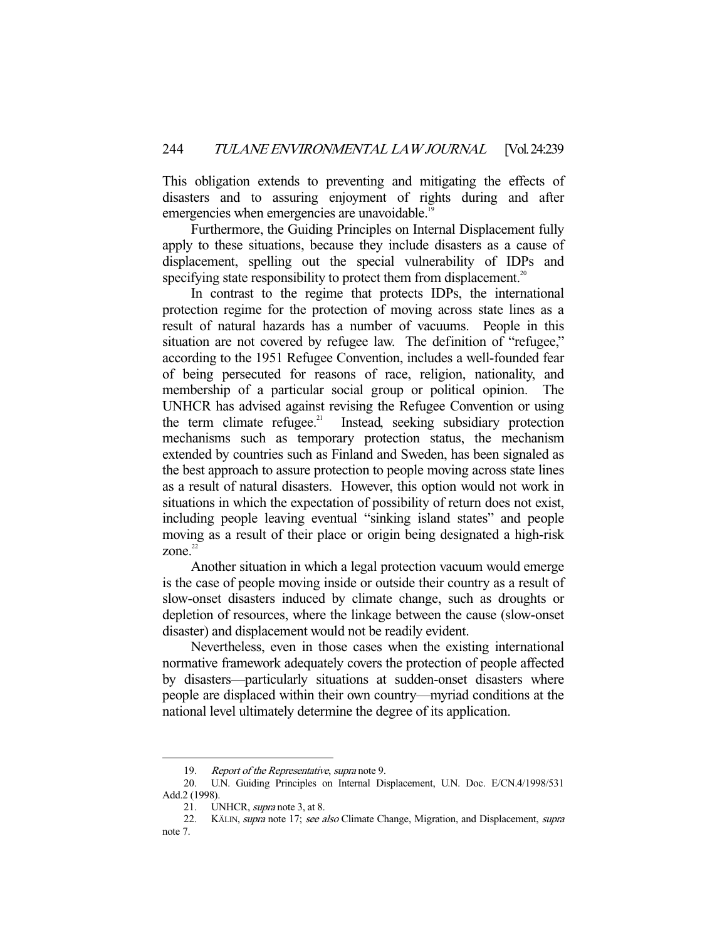This obligation extends to preventing and mitigating the effects of disasters and to assuring enjoyment of rights during and after emergencies when emergencies are unavoidable.<sup>1</sup>

 Furthermore, the Guiding Principles on Internal Displacement fully apply to these situations, because they include disasters as a cause of displacement, spelling out the special vulnerability of IDPs and specifying state responsibility to protect them from displacement.<sup>20</sup>

 In contrast to the regime that protects IDPs, the international protection regime for the protection of moving across state lines as a result of natural hazards has a number of vacuums. People in this situation are not covered by refugee law. The definition of "refugee," according to the 1951 Refugee Convention, includes a well-founded fear of being persecuted for reasons of race, religion, nationality, and membership of a particular social group or political opinion. The UNHCR has advised against revising the Refugee Convention or using the term climate refugee.<sup>21</sup> Instead, seeking subsidiary protection mechanisms such as temporary protection status, the mechanism extended by countries such as Finland and Sweden, has been signaled as the best approach to assure protection to people moving across state lines as a result of natural disasters. However, this option would not work in situations in which the expectation of possibility of return does not exist, including people leaving eventual "sinking island states" and people moving as a result of their place or origin being designated a high-risk zone. $22$ 

 Another situation in which a legal protection vacuum would emerge is the case of people moving inside or outside their country as a result of slow-onset disasters induced by climate change, such as droughts or depletion of resources, where the linkage between the cause (slow-onset disaster) and displacement would not be readily evident.

 Nevertheless, even in those cases when the existing international normative framework adequately covers the protection of people affected by disasters—particularly situations at sudden-onset disasters where people are displaced within their own country—myriad conditions at the national level ultimately determine the degree of its application.

 <sup>19.</sup> Report of the Representative, supra note 9.

 <sup>20.</sup> U.N. Guiding Principles on Internal Displacement, U.N. Doc. E/CN.4/1998/531 Add.2 (1998).

<sup>21.</sup> UNHCR, *supra* note 3, at 8.

<sup>22.</sup> KÄLIN, supra note 17; see also Climate Change, Migration, and Displacement, supra note 7.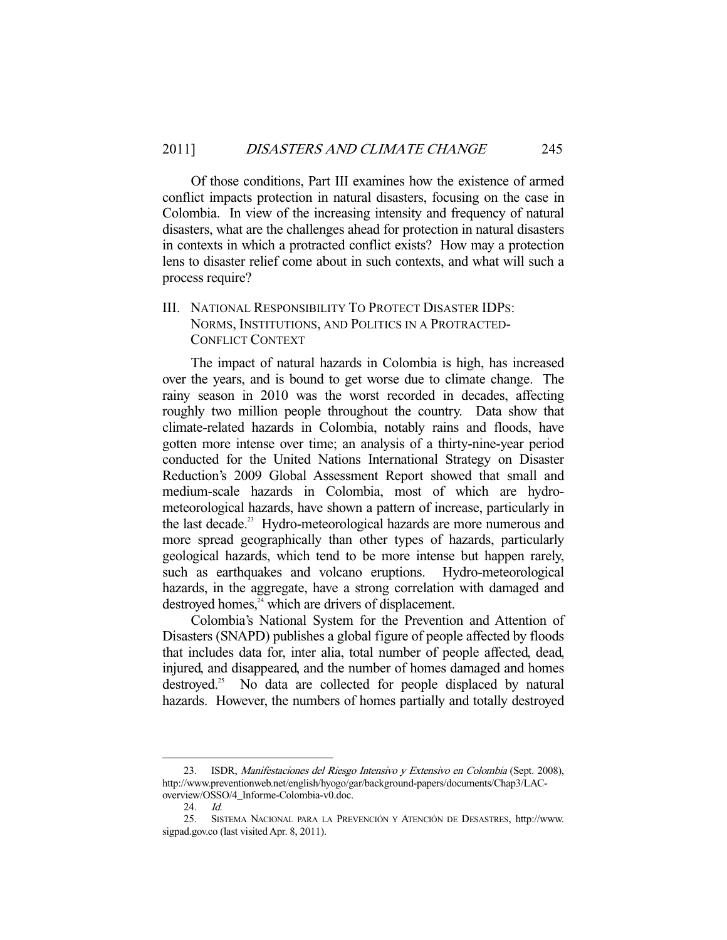Of those conditions, Part III examines how the existence of armed conflict impacts protection in natural disasters, focusing on the case in Colombia. In view of the increasing intensity and frequency of natural disasters, what are the challenges ahead for protection in natural disasters in contexts in which a protracted conflict exists? How may a protection lens to disaster relief come about in such contexts, and what will such a process require?

## III. NATIONAL RESPONSIBILITY TO PROTECT DISASTER IDPS: NORMS, INSTITUTIONS, AND POLITICS IN A PROTRACTED-CONFLICT CONTEXT

 The impact of natural hazards in Colombia is high, has increased over the years, and is bound to get worse due to climate change. The rainy season in 2010 was the worst recorded in decades, affecting roughly two million people throughout the country. Data show that climate-related hazards in Colombia, notably rains and floods, have gotten more intense over time; an analysis of a thirty-nine-year period conducted for the United Nations International Strategy on Disaster Reduction's 2009 Global Assessment Report showed that small and medium-scale hazards in Colombia, most of which are hydrometeorological hazards, have shown a pattern of increase, particularly in the last decade.<sup>23</sup> Hydro-meteorological hazards are more numerous and more spread geographically than other types of hazards, particularly geological hazards, which tend to be more intense but happen rarely, such as earthquakes and volcano eruptions. Hydro-meteorological hazards, in the aggregate, have a strong correlation with damaged and destroyed homes, $^{24}$  which are drivers of displacement.

 Colombia's National System for the Prevention and Attention of Disasters (SNAPD) publishes a global figure of people affected by floods that includes data for, inter alia, total number of people affected, dead, injured, and disappeared, and the number of homes damaged and homes destroyed.<sup>25</sup> No data are collected for people displaced by natural hazards. However, the numbers of homes partially and totally destroyed

 <sup>23.</sup> ISDR, Manifestaciones del Riesgo Intensivo y Extensivo en Colombia (Sept. 2008), http://www.preventionweb.net/english/hyogo/gar/background-papers/documents/Chap3/LACoverview/OSSO/4\_Informe-Colombia-v0.doc.

 <sup>24.</sup> Id.

 <sup>25.</sup> SISTEMA NACIONAL PARA LA PREVENCIÓN Y ATENCIÓN DE DESASTRES, http://www. sigpad.gov.co (last visited Apr. 8, 2011).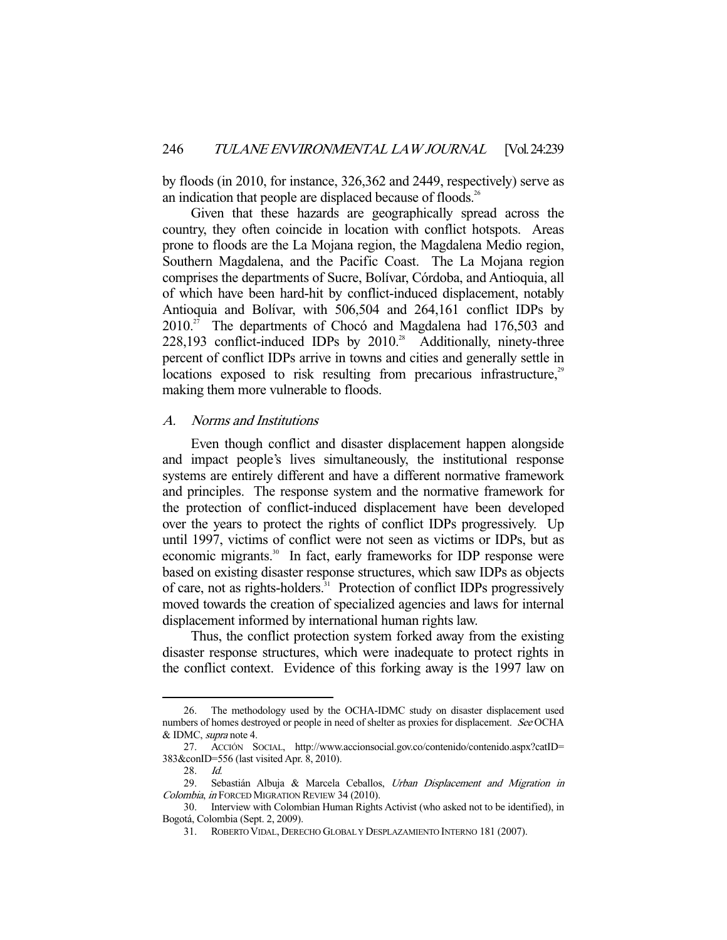by floods (in 2010, for instance, 326,362 and 2449, respectively) serve as an indication that people are displaced because of floods.<sup>26</sup>

 Given that these hazards are geographically spread across the country, they often coincide in location with conflict hotspots. Areas prone to floods are the La Mojana region, the Magdalena Medio region, Southern Magdalena, and the Pacific Coast. The La Mojana region comprises the departments of Sucre, Bolívar, Córdoba, and Antioquia, all of which have been hard-hit by conflict-induced displacement, notably Antioquia and Bolívar, with 506,504 and 264,161 conflict IDPs by  $2010.^{27}$  The departments of Chocó and Magdalena had 176,503 and  $228,193$  conflict-induced IDPs by  $2010<sup>28</sup>$  Additionally, ninety-three percent of conflict IDPs arrive in towns and cities and generally settle in locations exposed to risk resulting from precarious infrastructure,<sup>29</sup> making them more vulnerable to floods.

#### A. Norms and Institutions

 Even though conflict and disaster displacement happen alongside and impact people's lives simultaneously, the institutional response systems are entirely different and have a different normative framework and principles. The response system and the normative framework for the protection of conflict-induced displacement have been developed over the years to protect the rights of conflict IDPs progressively. Up until 1997, victims of conflict were not seen as victims or IDPs, but as economic migrants.<sup>30</sup> In fact, early frameworks for IDP response were based on existing disaster response structures, which saw IDPs as objects of care, not as rights-holders.<sup>31</sup> Protection of conflict IDPs progressively moved towards the creation of specialized agencies and laws for internal displacement informed by international human rights law.

 Thus, the conflict protection system forked away from the existing disaster response structures, which were inadequate to protect rights in the conflict context. Evidence of this forking away is the 1997 law on

 <sup>26.</sup> The methodology used by the OCHA-IDMC study on disaster displacement used numbers of homes destroyed or people in need of shelter as proxies for displacement. See OCHA & IDMC, supra note 4.

 <sup>27.</sup> ACCIÓN SOCIAL, http://www.accionsocial.gov.co/contenido/contenido.aspx?catID= 383&conID=556 (last visited Apr. 8, 2010).

 <sup>28.</sup> Id.

<sup>29.</sup> Sebastián Albuja & Marcela Ceballos, Urban Displacement and Migration in Colombia, in FORCED MIGRATION REVIEW 34 (2010).

 <sup>30.</sup> Interview with Colombian Human Rights Activist (who asked not to be identified), in Bogotá, Colombia (Sept. 2, 2009).

 <sup>31.</sup> ROBERTO VIDAL, DERECHO GLOBAL Y DESPLAZAMIENTO INTERNO 181 (2007).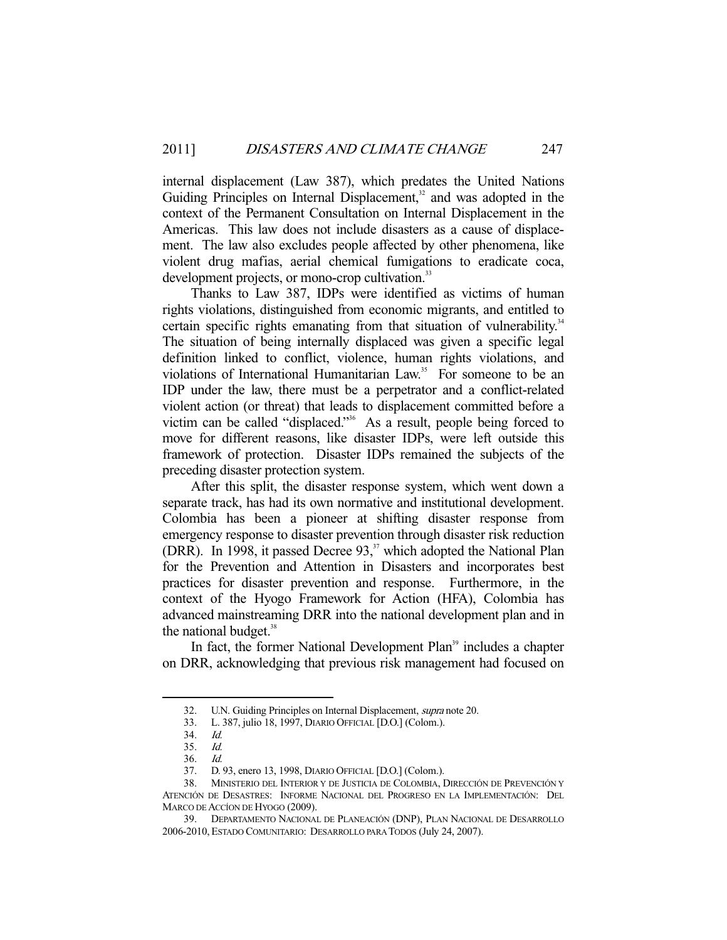internal displacement (Law 387), which predates the United Nations Guiding Principles on Internal Displacement, $32$  and was adopted in the context of the Permanent Consultation on Internal Displacement in the Americas. This law does not include disasters as a cause of displacement. The law also excludes people affected by other phenomena, like violent drug mafias, aerial chemical fumigations to eradicate coca, development projects, or mono-crop cultivation.<sup>33</sup>

 Thanks to Law 387, IDPs were identified as victims of human rights violations, distinguished from economic migrants, and entitled to certain specific rights emanating from that situation of vulnerability.<sup>34</sup> The situation of being internally displaced was given a specific legal definition linked to conflict, violence, human rights violations, and violations of International Humanitarian Law.<sup>35</sup> For someone to be an IDP under the law, there must be a perpetrator and a conflict-related violent action (or threat) that leads to displacement committed before a victim can be called "displaced."36 As a result, people being forced to move for different reasons, like disaster IDPs, were left outside this framework of protection. Disaster IDPs remained the subjects of the preceding disaster protection system.

 After this split, the disaster response system, which went down a separate track, has had its own normative and institutional development. Colombia has been a pioneer at shifting disaster response from emergency response to disaster prevention through disaster risk reduction (DRR). In 1998, it passed Decree 93,<sup>37</sup> which adopted the National Plan for the Prevention and Attention in Disasters and incorporates best practices for disaster prevention and response. Furthermore, in the context of the Hyogo Framework for Action (HFA), Colombia has advanced mainstreaming DRR into the national development plan and in the national budget.<sup>38</sup>

In fact, the former National Development Plan<sup>39</sup> includes a chapter on DRR, acknowledging that previous risk management had focused on

<sup>32.</sup> U.N. Guiding Principles on Internal Displacement, *supra* note 20.

 <sup>33.</sup> L. 387, julio 18, 1997, DIARIO OFFICIAL [D.O.] (Colom.).

 <sup>34.</sup> Id.

 <sup>35.</sup> Id.

 <sup>36.</sup> Id.

 <sup>37.</sup> D. 93, enero 13, 1998, DIARIO OFFICIAL [D.O.] (Colom.).

 <sup>38.</sup> MINISTERIO DEL INTERIOR Y DE JUSTICIA DE COLOMBIA, DIRECCIÓN DE PREVENCIÓN Y ATENCIÓN DE DESASTRES: INFORME NACIONAL DEL PROGRESO EN LA IMPLEMENTACIÓN: DEL MARCO DE ACCÍON DE HYOGO (2009).

 <sup>39.</sup> DEPARTAMENTO NACIONAL DE PLANEACIÓN (DNP), PLAN NACIONAL DE DESARROLLO 2006-2010, ESTADO COMUNITARIO: DESARROLLO PARA TODOS (July 24, 2007).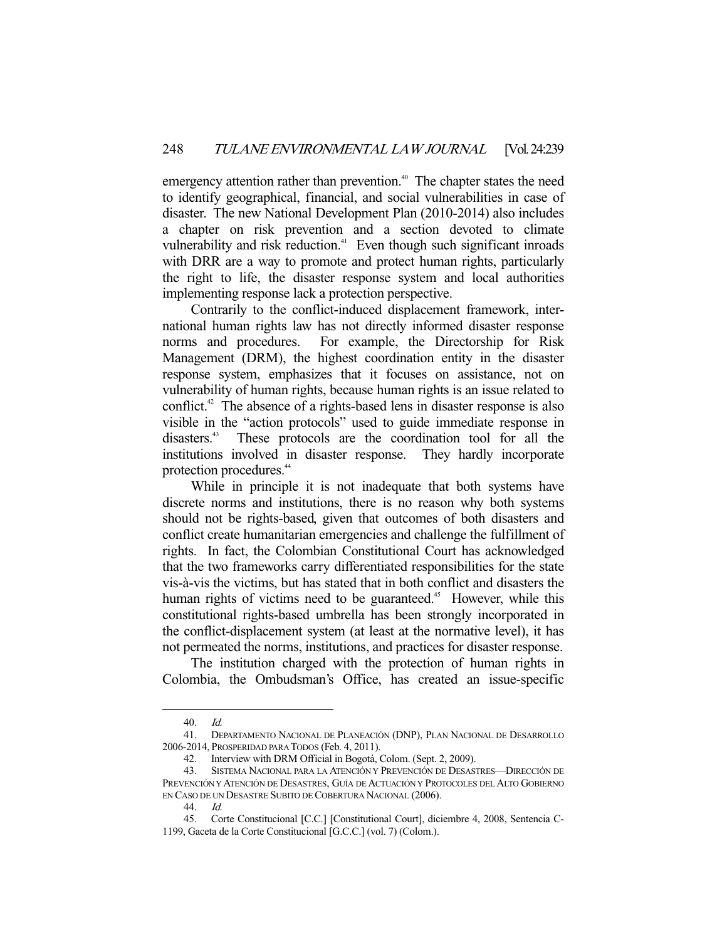emergency attention rather than prevention.<sup>40</sup> The chapter states the need to identify geographical, financial, and social vulnerabilities in case of disaster. The new National Development Plan (2010-2014) also includes a chapter on risk prevention and a section devoted to climate vulnerability and risk reduction.<sup>41</sup> Even though such significant inroads with DRR are a way to promote and protect human rights, particularly the right to life, the disaster response system and local authorities implementing response lack a protection perspective.

 Contrarily to the conflict-induced displacement framework, international human rights law has not directly informed disaster response norms and procedures. For example, the Directorship for Risk Management (DRM), the highest coordination entity in the disaster response system, emphasizes that it focuses on assistance, not on vulnerability of human rights, because human rights is an issue related to conflict.<sup>42</sup> The absence of a rights-based lens in disaster response is also visible in the "action protocols" used to guide immediate response in disasters.<sup>43</sup> These protocols are the coordination tool for all the These protocols are the coordination tool for all the institutions involved in disaster response. They hardly incorporate protection procedures.<sup>44</sup>

 While in principle it is not inadequate that both systems have discrete norms and institutions, there is no reason why both systems should not be rights-based, given that outcomes of both disasters and conflict create humanitarian emergencies and challenge the fulfillment of rights. In fact, the Colombian Constitutional Court has acknowledged that the two frameworks carry differentiated responsibilities for the state vis-à-vis the victims, but has stated that in both conflict and disasters the human rights of victims need to be guaranteed.<sup>45</sup> However, while this constitutional rights-based umbrella has been strongly incorporated in the conflict-displacement system (at least at the normative level), it has not permeated the norms, institutions, and practices for disaster response.

 The institution charged with the protection of human rights in Colombia, the Ombudsman's Office, has created an issue-specific

 <sup>40.</sup> Id.

 <sup>41.</sup> DEPARTAMENTO NACIONAL DE PLANEACIÓN (DNP), PLAN NACIONAL DE DESARROLLO 2006-2014, PROSPERIDAD PARA TODOS (Feb. 4, 2011).

 <sup>42.</sup> Interview with DRM Official in Bogotá, Colom. (Sept. 2, 2009).

 <sup>43.</sup> SISTEMA NACIONAL PARA LA ATENCIÓN Y PREVENCIÓN DE DESASTRES—DIRECCIÓN DE PREVENCIÓN Y ATENCIÓN DE DESASTRES, GUÍA DE ACTUACIÓN Y PROTOCOLES DEL ALTO GOBIERNO EN CASO DE UN DESASTRE SUBITO DE COBERTURA NACIONAL (2006).

 <sup>44.</sup> Id.

 <sup>45.</sup> Corte Constitucional [C.C.] [Constitutional Court], diciembre 4, 2008, Sentencia C-1199, Gaceta de la Corte Constitucional [G.C.C.] (vol. 7) (Colom.).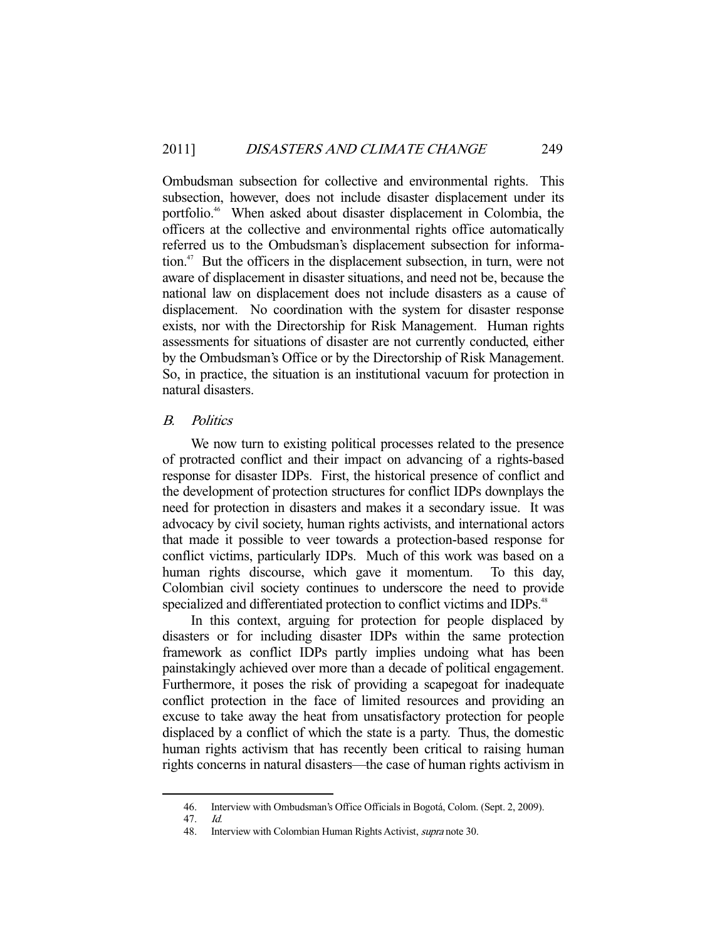Ombudsman subsection for collective and environmental rights. This subsection, however, does not include disaster displacement under its portfolio.<sup>46</sup> When asked about disaster displacement in Colombia, the officers at the collective and environmental rights office automatically referred us to the Ombudsman's displacement subsection for information.<sup>47</sup> But the officers in the displacement subsection, in turn, were not aware of displacement in disaster situations, and need not be, because the national law on displacement does not include disasters as a cause of displacement. No coordination with the system for disaster response exists, nor with the Directorship for Risk Management. Human rights assessments for situations of disaster are not currently conducted, either by the Ombudsman's Office or by the Directorship of Risk Management. So, in practice, the situation is an institutional vacuum for protection in natural disasters.

### B. Politics

 We now turn to existing political processes related to the presence of protracted conflict and their impact on advancing of a rights-based response for disaster IDPs. First, the historical presence of conflict and the development of protection structures for conflict IDPs downplays the need for protection in disasters and makes it a secondary issue. It was advocacy by civil society, human rights activists, and international actors that made it possible to veer towards a protection-based response for conflict victims, particularly IDPs. Much of this work was based on a human rights discourse, which gave it momentum. To this day, Colombian civil society continues to underscore the need to provide specialized and differentiated protection to conflict victims and IDPs.<sup>48</sup>

 In this context, arguing for protection for people displaced by disasters or for including disaster IDPs within the same protection framework as conflict IDPs partly implies undoing what has been painstakingly achieved over more than a decade of political engagement. Furthermore, it poses the risk of providing a scapegoat for inadequate conflict protection in the face of limited resources and providing an excuse to take away the heat from unsatisfactory protection for people displaced by a conflict of which the state is a party. Thus, the domestic human rights activism that has recently been critical to raising human rights concerns in natural disasters—the case of human rights activism in

 <sup>46.</sup> Interview with Ombudsman's Office Officials in Bogotá, Colom. (Sept. 2, 2009).

 <sup>47.</sup> Id.

<sup>48.</sup> Interview with Colombian Human Rights Activist, *supra* note 30.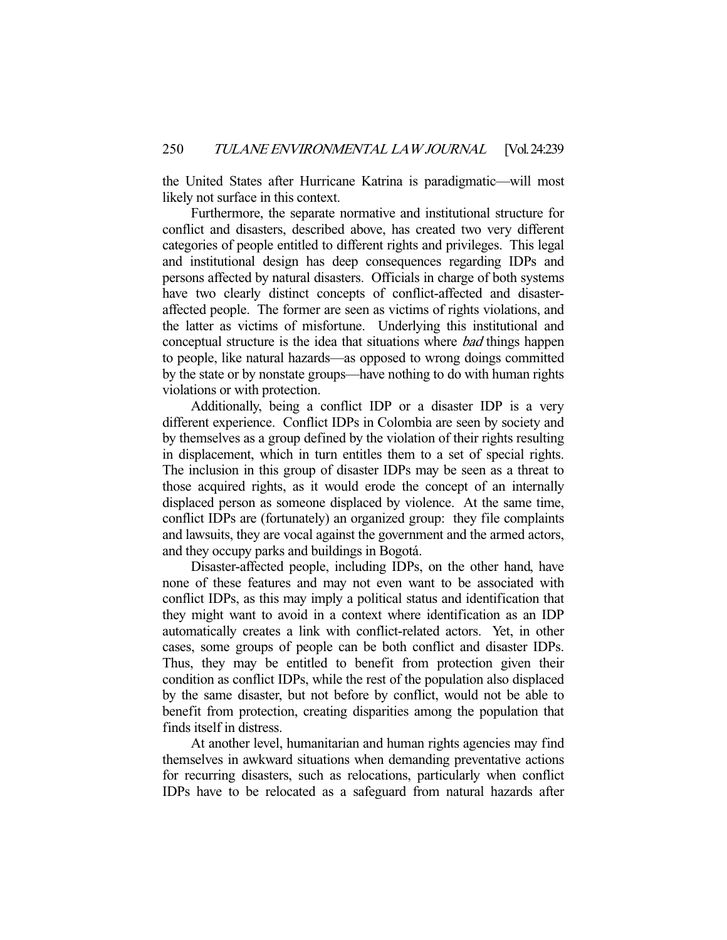the United States after Hurricane Katrina is paradigmatic—will most likely not surface in this context.

 Furthermore, the separate normative and institutional structure for conflict and disasters, described above, has created two very different categories of people entitled to different rights and privileges. This legal and institutional design has deep consequences regarding IDPs and persons affected by natural disasters. Officials in charge of both systems have two clearly distinct concepts of conflict-affected and disasteraffected people. The former are seen as victims of rights violations, and the latter as victims of misfortune. Underlying this institutional and conceptual structure is the idea that situations where bad things happen to people, like natural hazards—as opposed to wrong doings committed by the state or by nonstate groups—have nothing to do with human rights violations or with protection.

 Additionally, being a conflict IDP or a disaster IDP is a very different experience. Conflict IDPs in Colombia are seen by society and by themselves as a group defined by the violation of their rights resulting in displacement, which in turn entitles them to a set of special rights. The inclusion in this group of disaster IDPs may be seen as a threat to those acquired rights, as it would erode the concept of an internally displaced person as someone displaced by violence. At the same time, conflict IDPs are (fortunately) an organized group: they file complaints and lawsuits, they are vocal against the government and the armed actors, and they occupy parks and buildings in Bogotá.

 Disaster-affected people, including IDPs, on the other hand, have none of these features and may not even want to be associated with conflict IDPs, as this may imply a political status and identification that they might want to avoid in a context where identification as an IDP automatically creates a link with conflict-related actors. Yet, in other cases, some groups of people can be both conflict and disaster IDPs. Thus, they may be entitled to benefit from protection given their condition as conflict IDPs, while the rest of the population also displaced by the same disaster, but not before by conflict, would not be able to benefit from protection, creating disparities among the population that finds itself in distress.

 At another level, humanitarian and human rights agencies may find themselves in awkward situations when demanding preventative actions for recurring disasters, such as relocations, particularly when conflict IDPs have to be relocated as a safeguard from natural hazards after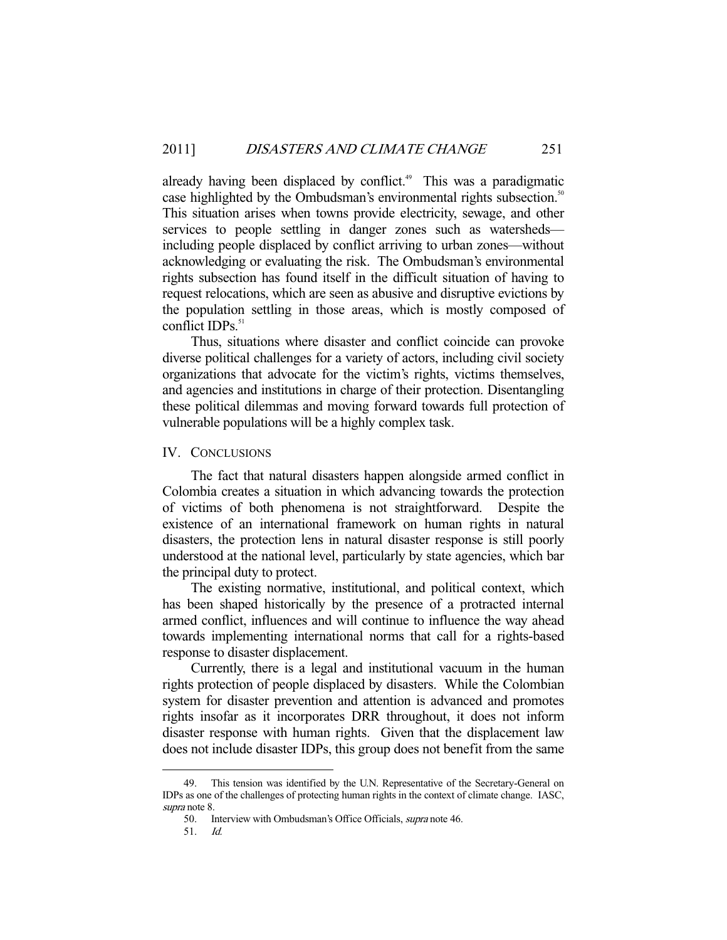already having been displaced by conflict.<sup>49</sup> This was a paradigmatic case highlighted by the Ombudsman's environmental rights subsection.<sup>50</sup> This situation arises when towns provide electricity, sewage, and other services to people settling in danger zones such as watersheds including people displaced by conflict arriving to urban zones—without acknowledging or evaluating the risk. The Ombudsman's environmental rights subsection has found itself in the difficult situation of having to request relocations, which are seen as abusive and disruptive evictions by the population settling in those areas, which is mostly composed of conflict IDPs. $51$ 

 Thus, situations where disaster and conflict coincide can provoke diverse political challenges for a variety of actors, including civil society organizations that advocate for the victim's rights, victims themselves, and agencies and institutions in charge of their protection. Disentangling these political dilemmas and moving forward towards full protection of vulnerable populations will be a highly complex task.

#### IV. CONCLUSIONS

 The fact that natural disasters happen alongside armed conflict in Colombia creates a situation in which advancing towards the protection of victims of both phenomena is not straightforward. Despite the existence of an international framework on human rights in natural disasters, the protection lens in natural disaster response is still poorly understood at the national level, particularly by state agencies, which bar the principal duty to protect.

 The existing normative, institutional, and political context, which has been shaped historically by the presence of a protracted internal armed conflict, influences and will continue to influence the way ahead towards implementing international norms that call for a rights-based response to disaster displacement.

 Currently, there is a legal and institutional vacuum in the human rights protection of people displaced by disasters. While the Colombian system for disaster prevention and attention is advanced and promotes rights insofar as it incorporates DRR throughout, it does not inform disaster response with human rights. Given that the displacement law does not include disaster IDPs, this group does not benefit from the same

 <sup>49.</sup> This tension was identified by the U.N. Representative of the Secretary-General on IDPs as one of the challenges of protecting human rights in the context of climate change. IASC, supra note 8.

 <sup>50.</sup> Interview with Ombudsman's Office Officials, supra note 46.

 <sup>51.</sup> Id.